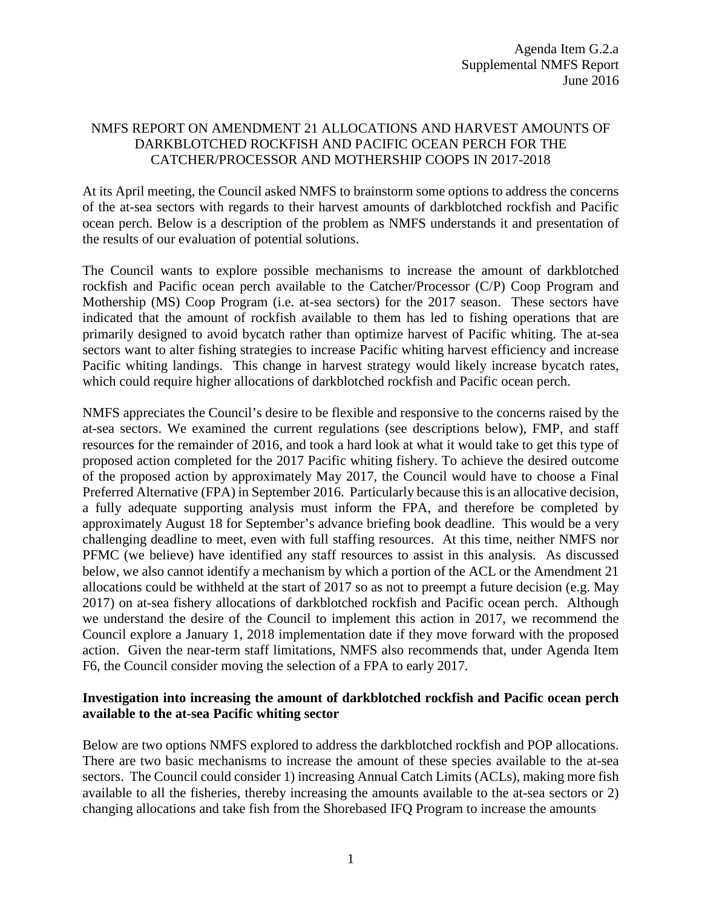## NMFS REPORT ON AMENDMENT 21 ALLOCATIONS AND HARVEST AMOUNTS OF DARKBLOTCHED ROCKFISH AND PACIFIC OCEAN PERCH FOR THE CATCHER/PROCESSOR AND MOTHERSHIP COOPS IN 2017-2018

At its April meeting, the Council asked NMFS to brainstorm some options to address the concerns of the at-sea sectors with regards to their harvest amounts of darkblotched rockfish and Pacific ocean perch. Below is a description of the problem as NMFS understands it and presentation of the results of our evaluation of potential solutions.

The Council wants to explore possible mechanisms to increase the amount of darkblotched rockfish and Pacific ocean perch available to the Catcher/Processor (C/P) Coop Program and Mothership (MS) Coop Program (i.e. at-sea sectors) for the 2017 season. These sectors have indicated that the amount of rockfish available to them has led to fishing operations that are primarily designed to avoid bycatch rather than optimize harvest of Pacific whiting. The at-sea sectors want to alter fishing strategies to increase Pacific whiting harvest efficiency and increase Pacific whiting landings. This change in harvest strategy would likely increase bycatch rates, which could require higher allocations of darkblotched rockfish and Pacific ocean perch.

NMFS appreciates the Council's desire to be flexible and responsive to the concerns raised by the at-sea sectors. We examined the current regulations (see descriptions below), FMP, and staff resources for the remainder of 2016, and took a hard look at what it would take to get this type of proposed action completed for the 2017 Pacific whiting fishery. To achieve the desired outcome of the proposed action by approximately May 2017, the Council would have to choose a Final Preferred Alternative (FPA) in September 2016. Particularly because this is an allocative decision, a fully adequate supporting analysis must inform the FPA, and therefore be completed by approximately August 18 for September's advance briefing book deadline. This would be a very challenging deadline to meet, even with full staffing resources. At this time, neither NMFS nor PFMC (we believe) have identified any staff resources to assist in this analysis. As discussed below, we also cannot identify a mechanism by which a portion of the ACL or the Amendment 21 allocations could be withheld at the start of 2017 so as not to preempt a future decision (e.g. May 2017) on at-sea fishery allocations of darkblotched rockfish and Pacific ocean perch. Although we understand the desire of the Council to implement this action in 2017, we recommend the Council explore a January 1, 2018 implementation date if they move forward with the proposed action. Given the near-term staff limitations, NMFS also recommends that, under Agenda Item F6, the Council consider moving the selection of a FPA to early 2017.

## **Investigation into increasing the amount of darkblotched rockfish and Pacific ocean perch available to the at-sea Pacific whiting sector**

Below are two options NMFS explored to address the darkblotched rockfish and POP allocations. There are two basic mechanisms to increase the amount of these species available to the at-sea sectors. The Council could consider 1) increasing Annual Catch Limits (ACLs), making more fish available to all the fisheries, thereby increasing the amounts available to the at-sea sectors or 2) changing allocations and take fish from the Shorebased IFQ Program to increase the amounts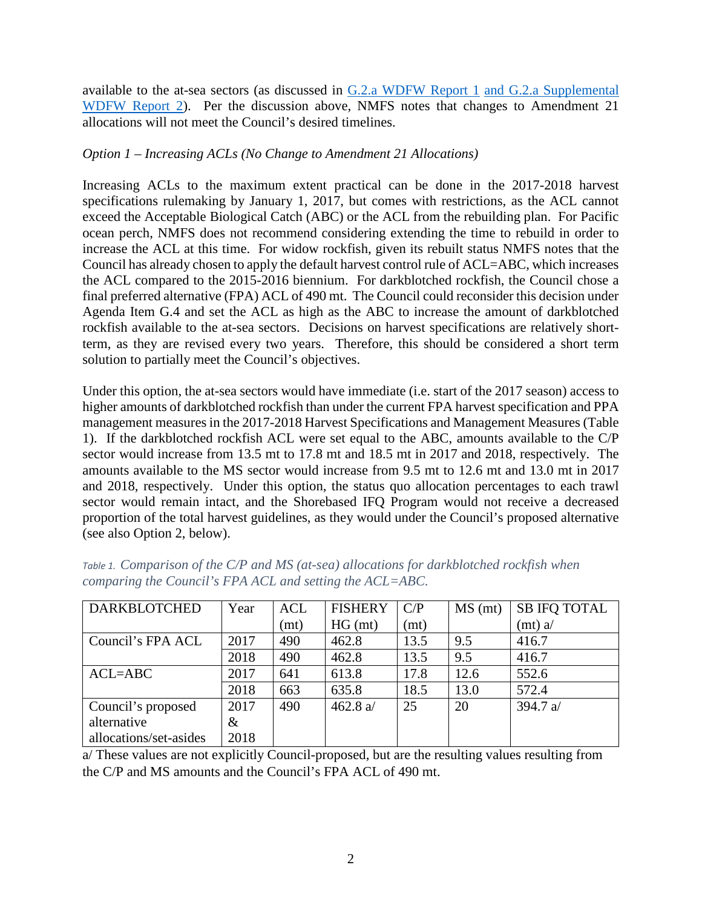available to the at-sea sectors (as discussed in [G.2.a WDFW](http://www.pcouncil.org/wp-content/uploads/2016/06/G2a_WDFW_Rpt1_AM21_JUN2016BB.pdf) Report 1 and [G.2.a Supplemental](http://www.pcouncil.org/wp-content/uploads/2016/06/G2a_Sup_WDFW_Rpt2_AnalysisAltsRevAM21_JUN2016BB.pdf)  [WDFW Report](http://www.pcouncil.org/wp-content/uploads/2016/06/G2a_Sup_WDFW_Rpt2_AnalysisAltsRevAM21_JUN2016BB.pdf) 2). Per the discussion above, NMFS notes that changes to Amendment 21 allocations will not meet the Council's desired timelines.

## *Option 1 – Increasing ACLs (No Change to Amendment 21 Allocations)*

Increasing ACLs to the maximum extent practical can be done in the 2017-2018 harvest specifications rulemaking by January 1, 2017, but comes with restrictions, as the ACL cannot exceed the Acceptable Biological Catch (ABC) or the ACL from the rebuilding plan. For Pacific ocean perch, NMFS does not recommend considering extending the time to rebuild in order to increase the ACL at this time. For widow rockfish, given its rebuilt status NMFS notes that the Council has already chosen to apply the default harvest control rule of ACL=ABC, which increases the ACL compared to the 2015-2016 biennium. For darkblotched rockfish, the Council chose a final preferred alternative (FPA) ACL of 490 mt. The Council could reconsider this decision under Agenda Item G.4 and set the ACL as high as the ABC to increase the amount of darkblotched rockfish available to the at-sea sectors. Decisions on harvest specifications are relatively shortterm, as they are revised every two years. Therefore, this should be considered a short term solution to partially meet the Council's objectives.

Under this option, the at-sea sectors would have immediate (i.e. start of the 2017 season) access to higher amounts of darkblotched rockfish than under the current FPA harvest specification and PPA management measures in the 2017-2018 Harvest Specifications and Management Measures [\(Table](#page-1-0)  [1\)](#page-1-0). If the darkblotched rockfish ACL were set equal to the ABC, amounts available to the C/P sector would increase from 13.5 mt to 17.8 mt and 18.5 mt in 2017 and 2018, respectively. The amounts available to the MS sector would increase from 9.5 mt to 12.6 mt and 13.0 mt in 2017 and 2018, respectively. Under this option, the status quo allocation percentages to each trawl sector would remain intact, and the Shorebased IFQ Program would not receive a decreased proportion of the total harvest guidelines, as they would under the Council's proposed alternative (see also Option 2, below).

| <b>DARKBLOTCHED</b>    | Year | <b>ACL</b> | <b>FISHERY</b> | C/P  | MS (mt) | <b>SB IFQ TOTAL</b> |
|------------------------|------|------------|----------------|------|---------|---------------------|
|                        |      | (mt)       | HG (mt)        | (mt) |         | (mt) a/             |
| Council's FPA ACL      | 2017 | 490        | 462.8          | 13.5 | 9.5     | 416.7               |
|                        | 2018 | 490        | 462.8          | 13.5 | 9.5     | 416.7               |
| $ACL = ABC$            | 2017 | 641        | 613.8          | 17.8 | 12.6    | 552.6               |
|                        | 2018 | 663        | 635.8          | 18.5 | 13.0    | 572.4               |
| Council's proposed     | 2017 | 490        | 462.8 $a/$     | 25   | 20      | 394.7 $a/$          |
| alternative            | $\&$ |            |                |      |         |                     |
| allocations/set-asides | 2018 |            |                |      |         |                     |

<span id="page-1-0"></span>*Table 1. Comparison of the C/P and MS (at-sea) allocations for darkblotched rockfish when comparing the Council's FPA ACL and setting the ACL=ABC.* 

a/ These values are not explicitly Council-proposed, but are the resulting values resulting from the C/P and MS amounts and the Council's FPA ACL of 490 mt.